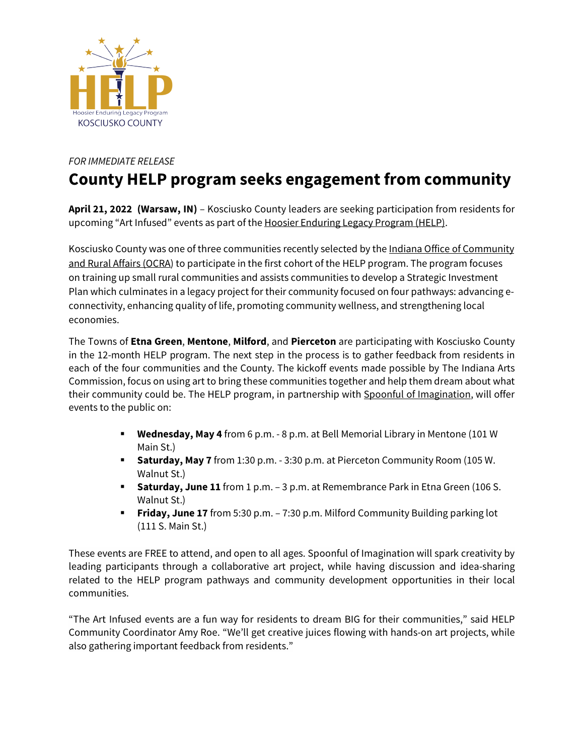

## *FOR IMMEDIATE RELEASE*

## **County HELP program seeks engagement from community**

**April 21, 2022 (Warsaw, IN)** – Kosciusko County leaders are seeking participation from residents for upcoming "Art Infused" events as part of the Hoosier Enduring Legacy Program (HELP).

Kosciusko County was one of three communities recently selected by the Indiana Office of Community and Rural Affairs (OCRA) to participate in the first cohort of the HELP program. The program focuses on training up small rural communities and assists communities to develop a Strategic Investment Plan which culminates in a legacy project for their community focused on four pathways: advancing econnectivity, enhancing quality of life, promoting community wellness, and strengthening local economies.

The Towns of **Etna Green**, **Mentone**, **Milford**, and **Pierceton** are participating with Kosciusko County in the 12-month HELP program. The next step in the process is to gather feedback from residents in each of the four communities and the County. The kickoff events made possible by The Indiana Arts Commission, focus on using art to bring these communities together and help them dream about what their community could be. The HELP program, in partnership with Spoonful of Imagination, will offer events to the public on:

- § **Wednesday, May 4** from 6 p.m. 8 p.m. at Bell Memorial Library in Mentone (101 W Main St.)
- **Saturday, May 7** from 1:30 p.m. 3:30 p.m. at Pierceton Community Room (105 W. Walnut St.)
- § **Saturday, June 11** from 1 p.m. 3 p.m. at Remembrance Park in Etna Green (106 S. Walnut St.)
- § **Friday, June 17** from 5:30 p.m. 7:30 p.m. Milford Community Building parking lot (111 S. Main St.)

These events are FREE to attend, and open to all ages. Spoonful of Imagination will spark creativity by leading participants through a collaborative art project, while having discussion and idea-sharing related to the HELP program pathways and community development opportunities in their local communities.

"The Art Infused events are a fun way for residents to dream BIG for their communities," said HELP Community Coordinator Amy Roe. "We'll get creative juices flowing with hands-on art projects, while also gathering important feedback from residents."